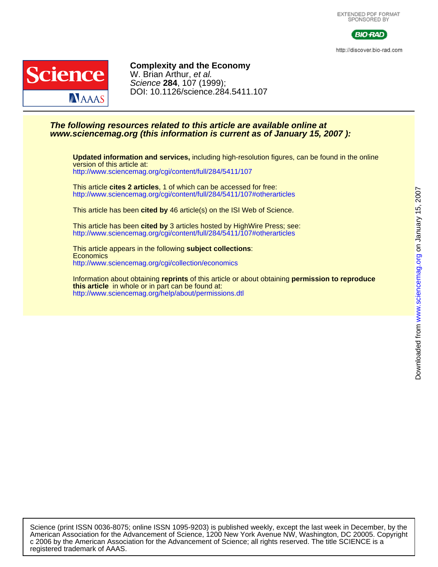

http://discover.bio-rad.com



## **Complexity and the Economy**

DOI: 10.1126/science.284.5411.107 Science **284**, 107 (1999); W. Brian Arthur, et al.

## **www.sciencemag.org (this information is current as of January 15, 2007 ): The following resources related to this article are available online at**

<http://www.sciencemag.org/cgi/content/full/284/5411/107> version of this article at: **Updated information and services,** including high-resolution figures, can be found in the online

<http://www.sciencemag.org/cgi/content/full/284/5411/107#otherarticles> This article **cites 2 articles**, 1 of which can be accessed for free:

This article has been **cited by** 46 article(s) on the ISI Web of Science.

<http://www.sciencemag.org/cgi/content/full/284/5411/107#otherarticles> This article has been **cited by** 3 articles hosted by HighWire Press; see:

<http://www.sciencemag.org/cgi/collection/economics> **Economics** This article appears in the following **subject collections**:

[http://www.sciencemag.org/help/about/permissions.dtl](http://www.sciencemag.org/misc/reprints.shtml) **this article** in whole or in part can be found at: Information about obtaining **reprints** of this article or about obtaining **permission to reproduce**

registered trademark of AAAS. c 2006 by the American Association for the Advancement of Science; all rights reserved. The title SCIENCE is a American Association for the Advancement of Science, 1200 New York Avenue NW, Washington, DC 20005. Copyright Science (print ISSN 0036-8075; online ISSN 1095-9203) is published weekly, except the last week in December, by the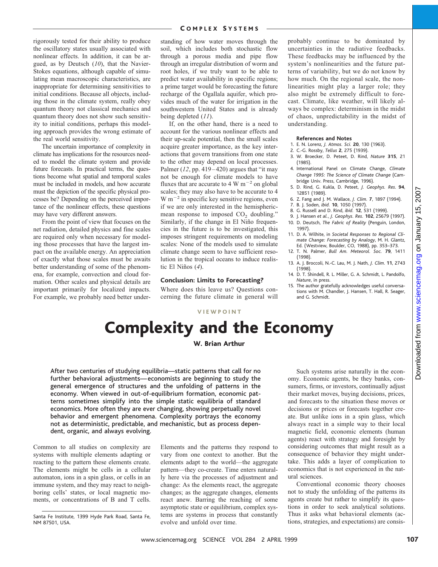### C OMPLEX S YSTEMS

rigorously tested for their ability to produce the oscillatory states usually associated with nonlinear effects. In addition, it can be argued, as by Deutsch (*10*), that the Navier-Stokes equations, although capable of simulating mean macroscopic characteristics, are inappropriate for determining sensitivities to initial conditions. Because all objects, including those in the climate system, really obey quantum theory not classical mechanics and quantum theory does not show such sensitivity to initial conditions, perhaps this modeling approach provides the wrong estimate of the real world sensitivity.

The uncertain importance of complexity in climate has implications for the resources needed to model the climate system and provide future forecasts. In practical terms, the questions become what spatial and temporal scales must be included in models, and how accurate must the depiction of the specific physical processes be? Depending on the perceived importance of the nonlinear effects, these questions may have very different answers.

From the point of view that focuses on the net radiation, detailed physics and fine scales are required only when necessary for modeling those processes that have the largest impact on the available energy. An appreciation of exactly what those scales must be awaits better understanding of some of the phenomena, for example, convection and cloud formation. Other scales and physical details are important primarily for localized impacts. For example, we probably need better understanding of how water moves through the soil, which includes both stochastic flow through a porous media and pipe flow through an irregular distribution of worm and root holes, if we truly want to be able to predict water availability in specific regions; a prime target would be forecasting the future recharge of the Ogallala aquifer, which provides much of the water for irrigation in the southwestern United States and is already being depleted (*11*).

If, on the other hand, there is a need to account for the various nonlinear effects and their up-scale potential, then the small scales acquire greater importance, as the key interactions that govern transitions from one state to the other may depend on local processes. Palmer (*12*, pp. 419–420) argues that "it may not be enough for climate models to have fluxes that are accurate to 4 W  $\text{m}^{-2}$  on global scales; they may also have to be accurate to 4  $W$  m<sup>-2</sup> in specific key sensitive regions, even if we are only interested in the hemisphericmean response to imposed CO<sub>2</sub> doubling." Similarly, if the change in El Niño frequencies in the future is to be investigated, this imposes stringent requirements on modeling scales: None of the models used to simulate climate change seem to have sufficient resolution in the tropical oceans to induce realistic El Nin˜os (*4*).

#### **Conclusion: Limits to Forecasting?**

Where does this leave us? Questions concerning the future climate in general will

#### VIEWPOINT

# Complexity and the Economy

#### W. Brian Arthur

After two centuries of studying equilibria—static patterns that call for no further behavioral adjustments—economists are beginning to study the general emergence of structures and the unfolding of patterns in the economy. When viewed in out-of-equilibrium formation, economic patterns sometimes simplify into the simple static equilibria of standard economics. More often they are ever changing, showing perpetually novel behavior and emergent phenomena. Complexity portrays the economy not as deterministic, predictable, and mechanistic, but as process dependent, organic, and always evolving.

Common to all studies on complexity are systems with multiple elements adapting or reacting to the pattern these elements create. The elements might be cells in a cellular automaton, ions in a spin glass, or cells in an immune system, and they may react to neighboring cells' states, or local magnetic moments, or concentrations of B and T cells.

NM 87501, USA.

Elements and the patterns they respond to vary from one context to another. But the elements adapt to the world—the aggregate pattern—they co-create. Time enters naturally here via the processes of adjustment and change: As the elements react, the aggregate changes; as the aggregate changes, elements react anew. Barring the reaching of some asymptotic state or equilibrium, complex systems are systems in process that constantly evolve and unfold over time. Santa Fe Institute, 1399 Hyde Park Road, Santa Fe, tems are systems in process that constantly full are in a reason in the Institute, 1399 Hyde Park Road, Santa Fe, tems are consis-<br>NM 87501, USA, NM 87501, USA, Strategies

linearities might play a larger role; they also might be extremely difficult to forecast. Climate, like weather, will likely always be complex: determinism in the midst of chaos, unpredictability in the midst of understanding. **References and Notes** 1. E. N. Lorenz, *J. Atmos. Sci.* **20**, 130 (1963). 2. C.-G. Rossby, *Tellus* **2**, 275 (1939). 3. W. Broecker, D. Peteet, D. Rind, *Nature* **315**, 21 (1985). 4. International Panel on Climate Change, *Climate*

probably continue to be dominated by uncertainties in the radiative feedbacks. These feedbacks may be influenced by the system's nonlinearities and the future patterns of variability, but we do not know by how much. On the regional scale, the non-

- *Change 1995: The Science of Climate Change* (Cambridge Univ. Press, Cambridge, 1996).
- 5. D. Rind, G. Kukla, D. Peteet, *J. Geophys. Res*. **94**, 12851 (1989).
- 6. Z. Fang and J. M. Wallace, *J. Clim.* **7**, 1897 (1994).
- 7. B. J. Soden, *ibid.* **10**, 1050 (1997).
- 8. G. Russell and D. Rind, *ibid.* **12**, 531 (1999).
- 9. J. Hansen *et al.*, *J. Geophys. Res.* **102**, 25679 (1997). 10. D. Deutsch, *The Fabric of Reality* (Penguin, London,
- 1997). 11. D. A. Wilhite, in *Societal Responses to Regional Climate Change: Forecasting by Analogy*, M. H. Glantz,
- Ed. (Westview, Boulder, CO, 1988), pp. 353–373. 12. T. N. Palmer, *Bull Am. Meteorol. Soc.* **79**, 1411 (1998).
- 13. A. J. Broccoli, N.-C. Lau, M. J. Nath, *J. Clim*. **11**, 2743 (1998).
- 14. D. T. Shindell, R. L. Miller, G. A. Schmidt, L. Pandolfo, *Nature*, in press.
- 15. The author gratefully acknowledges useful conversations with M. Chandler, J. Hansen, T. Hall, R. Seager, and G. Schmidt.

Such systems arise naturally in the economy. Economic agents, be they banks, consumers, firms, or investors, continually adjust their market moves, buying decisions, prices, and forecasts to the situation these moves or decisions or prices or forecasts together create. But unlike ions in a spin glass, which always react in a simple way to their local magnetic field, economic elements (human agents) react with strategy and foresight by considering outcomes that might result as a consequence of behavior they might undertake. This adds a layer of complication to economics that is not experienced in the natural sciences.

Conventional economic theory chooses not to study the unfolding of the patterns its agents create but rather to simplify its questions in order to seek analytical solutions. Thus it asks what behavioral elements (ac-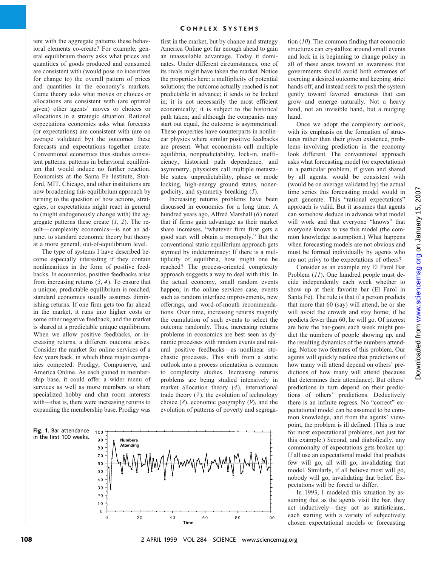tent with the aggregate patterns these behavioral elements co-create? For example, general equilibrium theory asks what prices and quantities of goods produced and consumed are consistent with (would pose no incentives for change to) the overall pattern of prices and quantities in the economy's markets. Game theory asks what moves or choices or allocations are consistent with (are optimal given) other agents' moves or choices or allocations in a strategic situation. Rational expectations economics asks what forecasts (or expectations) are consistent with (are on average validated by) the outcomes these forecasts and expectations together create. Conventional economics thus studies consistent patterns: patterns in behavioral equilibrium that would induce no further reaction. Economists at the Santa Fe Institute, Stanford, MIT, Chicago, and other institutions are now broadening this equilibrium approach by turning to the question of how actions, strategies, or expectations might react in general to (might endogenously change with) the aggregate patterns these create (*1*, *2*). The result—complexity economics—is not an adjunct to standard economic theory but theory at a more general, out-of-equilibrium level.

The type of systems I have described become especially interesting if they contain nonlinearities in the form of positive feedbacks. In economics, positive feedbacks arise from increasing returns (*3*, *4*). To ensure that a unique, predictable equilibrium is reached, standard economics usually assumes diminishing returns. If one firm gets too far ahead in the market, it runs into higher costs or some other negative feedback, and the market is shared at a predictable unique equilibrium. When we allow positive feedbacks, or increasing returns, a different outcome arises. Consider the market for online services of a few years back, in which three major companies competed: Prodigy, Compuserve, and America Online. As each gained in membership base, it could offer a wider menu of services as well as more members to share specialized hobby and chat room interests with—that is, there were increasing returns to expanding the membership base. Prodigy was

**Fig. 1.** Bar attendance in the first 100 weeks.



Increasing returns problems have been discussed in economics for a long time. A hundred years ago, Alfred Marshall (*6*) noted that if firms gain advantage as their market share increases, "whatever firm first gets a good start will obtain a monopoly." But the conventional static equilibrium approach gets stymied by indeterminacy: If there is a multiplicity of equilibria, how might one be reached? The process-oriented complexity approach suggests a way to deal with this. In the actual economy, small random events happen; in the online services case, events such as random interface improvements, new offerings, and word-of-mouth recommendations. Over time, increasing returns magnify the cumulation of such events to select the outcome randomly. Thus, increasing returns problems in economics are best seen as dynamic processes with random events and natural positive feedbacks—as nonlinear stochastic processes. This shift from a static outlook into a process orientation is common to complexity studies. Increasing returns problems are being studied intensively in market allocation theory (*4*), international trade theory (*7*), the evolution of technology choice (*8*), economic geography (*9*), and the evolution of patterns of poverty and segrega-



tion (*10*). The common finding that economic structures can crystallize around small events and lock in is beginning to change policy in all of these areas toward an awareness that governments should avoid both extremes of coercing a desired outcome and keeping strict hands off, and instead seek to push the system gently toward favored structures that can grow and emerge naturally. Not a heavy hand, not an invisible hand, but a nudging hand.

Once we adopt the complexity outlook, with its emphasis on the formation of structures rather than their given existence, problems involving prediction in the economy look different. The conventional approach asks what forecasting model (or expectations) in a particular problem, if given and shared by all agents, would be consistent with (would be on average validated by) the actual time series this forecasting model would in part generate. This "rational expectations" approach is valid. But it assumes that agents can somehow deduce in advance what model will work and that everyone "knows" that everyone knows to use this model (the common knowledge assumption.) What happens when forecasting models are not obvious and must be formed individually by agents who are not privy to the expectations of others?

Consider as an example my El Farol Bar Problem (*11*). One hundred people must decide independently each week whether to show up at their favorite bar (El Farol in Santa Fe). The rule is that if a person predicts that more that 60 (say) will attend, he or she will avoid the crowds and stay home; if he predicts fewer than 60, he will go. Of interest are how the bar-goers each week might predict the numbers of people showing up, and the resulting dynamics of the numbers attending. Notice two features of this problem. Our agents will quickly realize that predictions of how many will attend depend on others' predictions of how many will attend (because that determines their attendance). But others' predictions in turn depend on their predictions of others' predictions. Deductively there is an infinite regress. No "correct" expectational model can be assumed to be common knowledge, and from the agents' viewpoint, the problem is ill defined. (This is true for most expectational problems, not just for this example.) Second, and diabolically, any commonalty of expectations gets broken up: If all use an expectational model that predicts few will go, all will go, invalidating that model. Similarly, if all believe most will go, nobody will go, invalidating that belief. Expectations will be forced to differ.

In 1993, I modeled this situation by assuming that as the agents visit the bar, they act inductively—they act as statisticians, each starting with a variety of subjectively chosen expectational models or forecasting

108 2 APRIL 1999 VOL 284 SCIENCE www.sciencemag.org